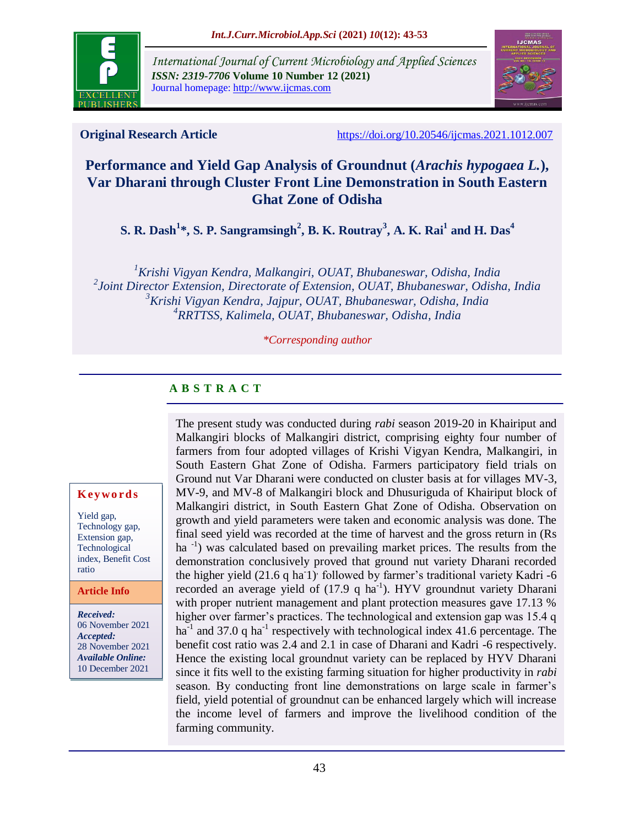

*International Journal of Current Microbiology and Applied Sciences ISSN: 2319-7706* **Volume 10 Number 12 (2021)**  Journal homepage: http://www.ijcmas.com



**Original Research Article** <https://doi.org/10.20546/ijcmas.2021.1012.007>

# **Performance and Yield Gap Analysis of Groundnut (***Arachis hypogaea L.***), Var Dharani through Cluster Front Line Demonstration in South Eastern Ghat Zone of Odisha**

**S. R. Dash 1 \*, S. P. Sangramsingh<sup>2</sup> , B. K. Routray<sup>3</sup> , A. K. Rai<sup>1</sup> and H. Das<sup>4</sup>**

*Krishi Vigyan Kendra, Malkangiri, OUAT, Bhubaneswar, Odisha, India Joint Director Extension, Directorate of Extension, OUAT, Bhubaneswar, Odisha, India Krishi Vigyan Kendra, Jajpur, OUAT, Bhubaneswar, Odisha, India RRTTSS, Kalimela, OUAT, Bhubaneswar, Odisha, India*

*\*Corresponding author*

# **A B S T R A C T**

The present study was conducted during *rabi* season 2019-20 in Khairiput and Malkangiri blocks of Malkangiri district, comprising eighty four number of farmers from four adopted villages of Krishi Vigyan Kendra, Malkangiri, in South Eastern Ghat Zone of Odisha. Farmers participatory field trials on Ground nut Var Dharani were conducted on cluster basis at for villages MV-3, MV-9, and MV-8 of Malkangiri block and Dhusuriguda of Khairiput block of Malkangiri district, in South Eastern Ghat Zone of Odisha. Observation on growth and yield parameters were taken and economic analysis was done. The final seed yield was recorded at the time of harvest and the gross return in (Rs ha<sup>-1</sup>) was calculated based on prevailing market prices. The results from the demonstration conclusively proved that ground nut variety Dharani recorded the higher yield (21.6 q ha<sup>1</sup>) followed by farmer's traditional variety Kadri -6 recorded an average yield of  $(17.9 \text{ q ha}^{-1})$ . HYV groundnut variety Dharani with proper nutrient management and plant protection measures gave 17.13 % higher over farmer's practices. The technological and extension gap was 15.4 q ha<sup>-1</sup> and 37.0 q ha<sup>-1</sup> respectively with technological index 41.6 percentage. The benefit cost ratio was 2.4 and 2.1 in case of Dharani and Kadri -6 respectively. Hence the existing local groundnut variety can be replaced by HYV Dharani since it fits well to the existing farming situation for higher productivity in *rabi* season. By conducting front line demonstrations on large scale in farmer's field, yield potential of groundnut can be enhanced largely which will increase the income level of farmers and improve the livelihood condition of the farming community.

### **K ey w o rd s**

Yield gap, Technology gap, Extension gap, Technological index, Benefit Cost ratio

**Article Info**

*Received:*  06 November 2021 *Accepted:*  28 November 2021 *Available Online:* 10 December 2021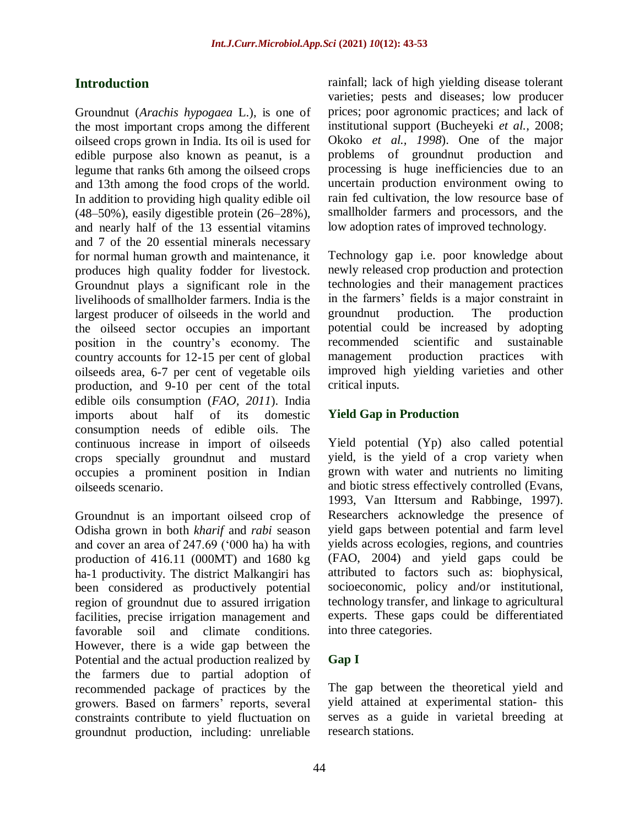# **Introduction**

Groundnut (*Arachis hypogaea* L.), is one of the most important crops among the different oilseed crops grown in India. Its oil is used for edible purpose also known as peanut, is a legume that ranks 6th among the oilseed crops and 13th among the food crops of the world. In addition to providing high quality edible oil (48–50%), easily digestible protein (26–28%), and nearly half of the 13 essential vitamins and 7 of the 20 essential minerals necessary for normal human growth and maintenance, it produces high quality fodder for livestock. Groundnut plays a significant role in the livelihoods of smallholder farmers. India is the largest producer of oilseeds in the world and the oilseed sector occupies an important position in the country"s economy. The country accounts for 12-15 per cent of global oilseeds area, 6-7 per cent of vegetable oils production, and 9-10 per cent of the total edible oils consumption (*FAO, 2011*). India imports about half of its domestic consumption needs of edible oils. The continuous increase in import of oilseeds crops specially groundnut and mustard occupies a prominent position in Indian oilseeds scenario.

Groundnut is an important oilseed crop of Odisha grown in both *kharif* and *rabi* season and cover an area of 247.69 ("000 ha) ha with production of 416.11 (000MT) and 1680 kg ha-1 productivity. The district Malkangiri has been considered as productively potential region of groundnut due to assured irrigation facilities, precise irrigation management and favorable soil and climate conditions. However, there is a wide gap between the Potential and the actual production realized by the farmers due to partial adoption of recommended package of practices by the growers. Based on farmers" reports, several constraints contribute to yield fluctuation on groundnut production, including: unreliable

rainfall; lack of high yielding disease tolerant varieties; pests and diseases; low producer prices; poor agronomic practices; and lack of institutional support (Bucheyeki *et al.,* 2008; Okoko *et al., 1998*). One of the major problems of groundnut production and processing is huge inefficiencies due to an uncertain production environment owing to rain fed cultivation, the low resource base of smallholder farmers and processors, and the low adoption rates of improved technology.

Technology gap i.e. poor knowledge about newly released crop production and protection technologies and their management practices in the farmers" fields is a major constraint in groundnut production. The production potential could be increased by adopting recommended scientific and sustainable management production practices with improved high yielding varieties and other critical inputs.

## **Yield Gap in Production**

Yield potential (Yp) also called potential yield, is the yield of a crop variety when grown with water and nutrients no limiting and biotic stress effectively controlled (Evans, 1993, Van Ittersum and Rabbinge, 1997). Researchers acknowledge the presence of yield gaps between potential and farm level yields across ecologies, regions, and countries (FAO, 2004) and yield gaps could be attributed to factors such as: biophysical, socioeconomic, policy and/or institutional, technology transfer, and linkage to agricultural experts. These gaps could be differentiated into three categories.

## **Gap I**

The gap between the theoretical yield and yield attained at experimental station- this serves as a guide in varietal breeding at research stations.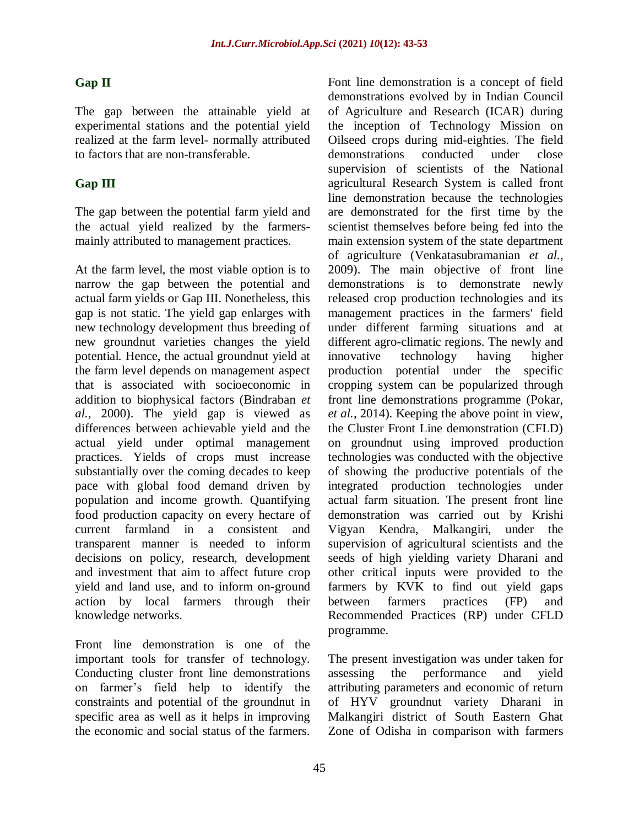## **Gap II**

The gap between the attainable yield at experimental stations and the potential yield realized at the farm level- normally attributed to factors that are non-transferable.

## **Gap III**

The gap between the potential farm yield and the actual yield realized by the farmersmainly attributed to management practices.

At the farm level, the most viable option is to narrow the gap between the potential and actual farm yields or Gap III. Nonetheless, this gap is not static. The yield gap enlarges with new technology development thus breeding of new groundnut varieties changes the yield potential. Hence, the actual groundnut yield at the farm level depends on management aspect that is associated with socioeconomic in addition to biophysical factors (Bindraban *et al.,* 2000). The yield gap is viewed as differences between achievable yield and the actual yield under optimal management practices. Yields of crops must increase substantially over the coming decades to keep pace with global food demand driven by population and income growth. Quantifying food production capacity on every hectare of current farmland in a consistent and transparent manner is needed to inform decisions on policy, research, development and investment that aim to affect future crop yield and land use, and to inform on-ground action by local farmers through their knowledge networks.

Front line demonstration is one of the important tools for transfer of technology. Conducting cluster front line demonstrations on farmer"s field help to identify the constraints and potential of the groundnut in specific area as well as it helps in improving the economic and social status of the farmers. Font line demonstration is a concept of field demonstrations evolved by in Indian Council of Agriculture and Research (ICAR) during the inception of Technology Mission on Oilseed crops during mid-eighties. The field demonstrations conducted under close supervision of scientists of the National agricultural Research System is called front line demonstration because the technologies are demonstrated for the first time by the scientist themselves before being fed into the main extension system of the state department of agriculture (Venkatasubramanian *et al.,* 2009). The main objective of front line demonstrations is to demonstrate newly released crop production technologies and its management practices in the farmers' field under different farming situations and at different agro-climatic regions. The newly and innovative technology having higher production potential under the specific cropping system can be popularized through front line demonstrations programme (Pokar, *et al.,* 2014). Keeping the above point in view, the Cluster Front Line demonstration (CFLD) on groundnut using improved production technologies was conducted with the objective of showing the productive potentials of the integrated production technologies under actual farm situation. The present front line demonstration was carried out by Krishi Vigyan Kendra, Malkangiri, under the supervision of agricultural scientists and the seeds of high yielding variety Dharani and other critical inputs were provided to the farmers by KVK to find out yield gaps between farmers practices (FP) and Recommended Practices (RP) under CFLD programme.

The present investigation was under taken for assessing the performance and yield attributing parameters and economic of return of HYV groundnut variety Dharani in Malkangiri district of South Eastern Ghat Zone of Odisha in comparison with farmers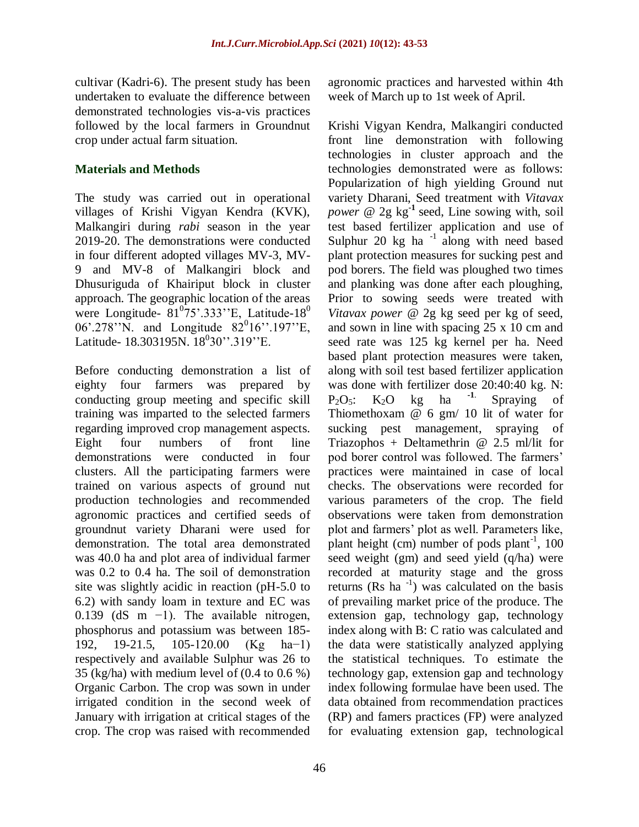cultivar (Kadri-6). The present study has been undertaken to evaluate the difference between demonstrated technologies vis-a-vis practices followed by the local farmers in Groundnut crop under actual farm situation.

## **Materials and Methods**

The study was carried out in operational villages of Krishi Vigyan Kendra (KVK), Malkangiri during *rabi* season in the year 2019-20. The demonstrations were conducted in four different adopted villages MV-3, MV-9 and MV-8 of Malkangiri block and Dhusuriguda of Khairiput block in cluster approach. The geographic location of the areas were Longitude-  $81^{\circ}75^{\circ}$ .333"E, Latitude-18 $^{\circ}$ 06'.278''N. and Longitude  $82^{0}16$ ''.197''E, Latitude- 18.303195N. 18<sup>0</sup>30".319"E.

Before conducting demonstration a list of eighty four farmers was prepared by conducting group meeting and specific skill training was imparted to the selected farmers regarding improved crop management aspects. Eight four numbers of front line demonstrations were conducted in four clusters. All the participating farmers were trained on various aspects of ground nut production technologies and recommended agronomic practices and certified seeds of groundnut variety Dharani were used for demonstration. The total area demonstrated was 40.0 ha and plot area of individual farmer was 0.2 to 0.4 ha. The soil of demonstration site was slightly acidic in reaction (pH-5.0 to 6.2) with sandy loam in texture and EC was 0.139 (dS m −1). The available nitrogen, phosphorus and potassium was between 185- 192, 19-21.5, 105-120.00 (Kg ha−1) respectively and available Sulphur was 26 to 35 (kg/ha) with medium level of (0.4 to 0.6 %) Organic Carbon. The crop was sown in under irrigated condition in the second week of January with irrigation at critical stages of the crop. The crop was raised with recommended

agronomic practices and harvested within 4th week of March up to 1st week of April.

Krishi Vigyan Kendra, Malkangiri conducted front line demonstration with following technologies in cluster approach and the technologies demonstrated were as follows: Popularization of high yielding Ground nut variety Dharani, Seed treatment with *Vitavax power* @ 2g kg**-1** seed, Line sowing with, soil test based fertilizer application and use of Sulphur 20 kg ha<sup>-1</sup> along with need based plant protection measures for sucking pest and pod borers. The field was ploughed two times and planking was done after each ploughing, Prior to sowing seeds were treated with *Vitavax power* @ 2g kg seed per kg of seed, and sown in line with spacing 25 x 10 cm and seed rate was 125 kg kernel per ha. Need based plant protection measures were taken, along with soil test based fertilizer application was done with fertilizer dose 20:40:40 kg. N:  $P_2O_5$ : K<sub>2</sub>O kg ha <sup>-1</sup>. Spraying of Thiomethoxam @ 6 gm/ 10 lit of water for sucking pest management, spraying of Triazophos + Deltamethrin @ 2.5 ml/lit for pod borer control was followed. The farmers" practices were maintained in case of local checks. The observations were recorded for various parameters of the crop. The field observations were taken from demonstration plot and farmers" plot as well. Parameters like, plant height (cm) number of pods plant<sup>-1</sup>,  $100$ seed weight (gm) and seed yield (q/ha) were recorded at maturity stage and the gross returns  $(Rs$  ha<sup>-1</sup>) was calculated on the basis of prevailing market price of the produce. The extension gap, technology gap, technology index along with B: C ratio was calculated and the data were statistically analyzed applying the statistical techniques. To estimate the technology gap, extension gap and technology index following formulae have been used. The data obtained from recommendation practices (RP) and famers practices (FP) were analyzed for evaluating extension gap, technological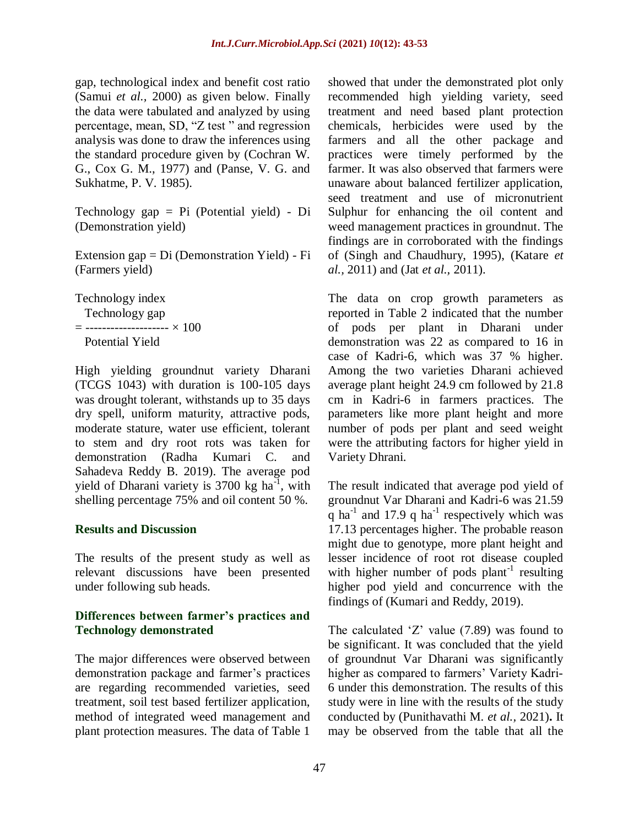gap, technological index and benefit cost ratio (Samui *et al.,* 2000) as given below. Finally the data were tabulated and analyzed by using percentage, mean, SD, "Z test " and regression analysis was done to draw the inferences using the standard procedure given by (Cochran W. G., Cox G. M., 1977) and (Panse, V. G. and Sukhatme, P. V. 1985).

Technology gap = Pi (Potential yield) - Di (Demonstration yield)

Extension gap = Di (Demonstration Yield) - Fi (Farmers yield)

Technology index Technology gap

 $=$  ---------------------  $\times$  100

Potential Yield

High yielding groundnut variety Dharani (TCGS 1043) with duration is 100-105 days was drought tolerant, withstands up to 35 days dry spell, uniform maturity, attractive pods, moderate stature, water use efficient, tolerant to stem and dry root rots was taken for demonstration (Radha Kumari C. and Sahadeva Reddy B. 2019). The average pod yield of Dharani variety is  $3700 \text{ kg}$  ha<sup>-1</sup>, with shelling percentage 75% and oil content 50 %.

### **Results and Discussion**

The results of the present study as well as relevant discussions have been presented under following sub heads.

### **Differences between farmer's practices and Technology demonstrated**

The major differences were observed between demonstration package and farmer"s practices are regarding recommended varieties, seed treatment, soil test based fertilizer application, method of integrated weed management and plant protection measures. The data of Table 1

showed that under the demonstrated plot only recommended high yielding variety, seed treatment and need based plant protection chemicals, herbicides were used by the farmers and all the other package and practices were timely performed by the farmer. It was also observed that farmers were unaware about balanced fertilizer application, seed treatment and use of micronutrient Sulphur for enhancing the oil content and weed management practices in groundnut. The findings are in corroborated with the findings of (Singh and Chaudhury, 1995), (Katare *et al.,* 2011) and (Jat *et al.,* 2011).

The data on crop growth parameters as reported in Table 2 indicated that the number of pods per plant in Dharani under demonstration was 22 as compared to 16 in case of Kadri-6, which was 37 % higher. Among the two varieties Dharani achieved average plant height 24.9 cm followed by 21.8 cm in Kadri-6 in farmers practices. The parameters like more plant height and more number of pods per plant and seed weight were the attributing factors for higher yield in Variety Dhrani.

The result indicated that average pod yield of groundnut Var Dharani and Kadri-6 was 21.59 q ha<sup>-1</sup> and 17.9 q ha<sup>-1</sup> respectively which was 17.13 percentages higher. The probable reason might due to genotype, more plant height and lesser incidence of root rot disease coupled with higher number of pods plant<sup>-1</sup> resulting higher pod yield and concurrence with the findings of (Kumari and Reddy, 2019).

The calculated  $Z'$  value (7.89) was found to be significant. It was concluded that the yield of groundnut Var Dharani was significantly higher as compared to farmers' Variety Kadri-6 under this demonstration. The results of this study were in line with the results of the study conducted by (Punithavathi M. *et al.,* 2021)**.** It may be observed from the table that all the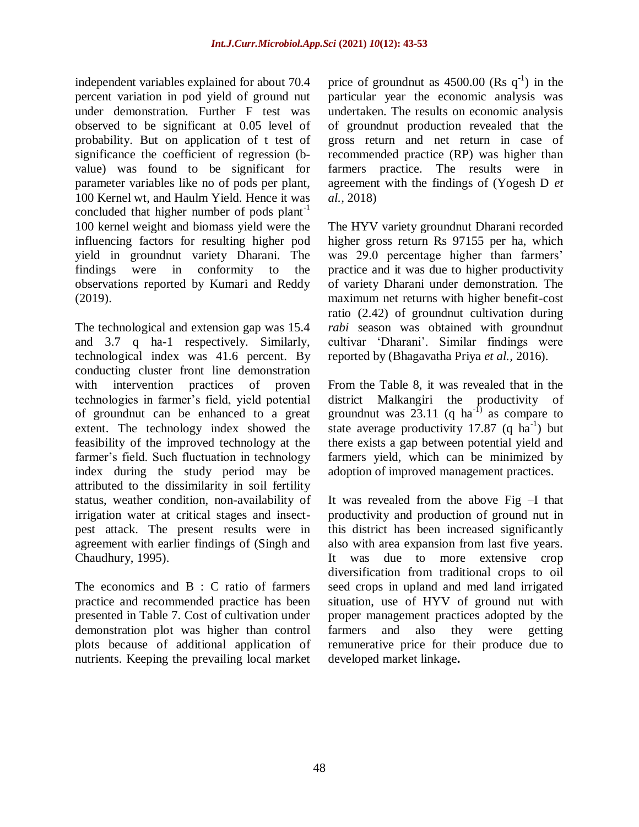independent variables explained for about 70.4 percent variation in pod yield of ground nut under demonstration. Further F test was observed to be significant at 0.05 level of probability. But on application of t test of significance the coefficient of regression (bvalue) was found to be significant for parameter variables like no of pods per plant, 100 Kernel wt, and Haulm Yield. Hence it was concluded that higher number of pods plant<sup>-1</sup> 100 kernel weight and biomass yield were the influencing factors for resulting higher pod yield in groundnut variety Dharani. The findings were in conformity to the observations reported by Kumari and Reddy (2019).

The technological and extension gap was 15.4 and 3.7 q ha-1 respectively. Similarly, technological index was 41.6 percent. By conducting cluster front line demonstration with intervention practices of proven technologies in farmer"s field, yield potential of groundnut can be enhanced to a great extent. The technology index showed the feasibility of the improved technology at the farmer's field. Such fluctuation in technology index during the study period may be attributed to the dissimilarity in soil fertility status, weather condition, non-availability of irrigation water at critical stages and insectpest attack. The present results were in agreement with earlier findings of (Singh and Chaudhury, 1995).

The economics and B : C ratio of farmers practice and recommended practice has been presented in Table 7. Cost of cultivation under demonstration plot was higher than control plots because of additional application of nutrients. Keeping the prevailing local market

price of groundnut as  $4500.00$  (Rs q<sup>-1</sup>) in the particular year the economic analysis was undertaken. The results on economic analysis of groundnut production revealed that the gross return and net return in case of recommended practice (RP) was higher than farmers practice. The results were in agreement with the findings of (Yogesh D *et al.,* 2018)

The HYV variety groundnut Dharani recorded higher gross return Rs 97155 per ha, which was 29.0 percentage higher than farmers' practice and it was due to higher productivity of variety Dharani under demonstration. The maximum net returns with higher benefit-cost ratio (2.42) of groundnut cultivation during *rabi* season was obtained with groundnut cultivar "Dharani". Similar findings were reported by (Bhagavatha Priya *et al.,* 2016).

From the Table 8, it was revealed that in the district Malkangiri the productivity of groundnut was  $23.11$  (q ha<sup>-1)</sup> as compare to state average productivity 17.87  $(q \text{ ha}^{-1})$  but there exists a gap between potential yield and farmers yield, which can be minimized by adoption of improved management practices.

It was revealed from the above Fig –I that productivity and production of ground nut in this district has been increased significantly also with area expansion from last five years. It was due to more extensive crop diversification from traditional crops to oil seed crops in upland and med land irrigated situation, use of HYV of ground nut with proper management practices adopted by the farmers and also they were getting remunerative price for their produce due to developed market linkage**.**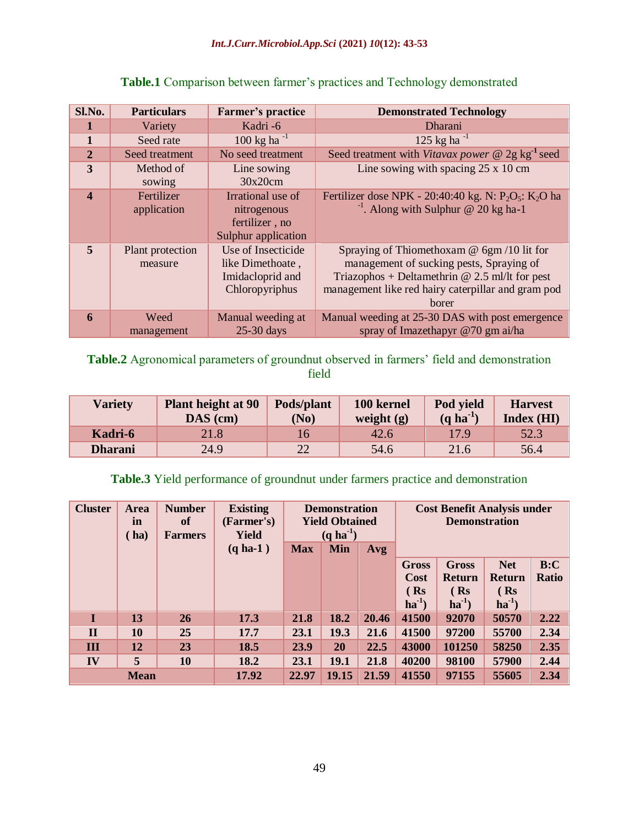| Sl.No.                  | <b>Particulars</b>          | Farmer's practice                                                            | <b>Demonstrated Technology</b>                                                                                                                                                                                |
|-------------------------|-----------------------------|------------------------------------------------------------------------------|---------------------------------------------------------------------------------------------------------------------------------------------------------------------------------------------------------------|
| 1                       | Variety                     | Kadri-6                                                                      | Dharani                                                                                                                                                                                                       |
| $\mathbf{1}$            | Seed rate                   | $100 \text{ kg}$ ha <sup>-1</sup>                                            | 125 kg ha $^{-1}$                                                                                                                                                                                             |
| $\overline{2}$          | Seed treatment              | No seed treatment                                                            | Seed treatment with Vitavax power $\omega$ 2g kg <sup>-1</sup> seed                                                                                                                                           |
| 3                       | Method of<br>sowing         | Line sowing<br>30x20cm                                                       | Line sowing with spacing $25 \times 10$ cm                                                                                                                                                                    |
| $\boldsymbol{4}$        | Fertilizer<br>application   | Irrational use of<br>nitrogenous<br>fertilizer, no<br>Sulphur application    | Fertilizer dose NPK - 20:40:40 kg. N: $P_2O_5$ : K <sub>2</sub> O ha<br><sup>-1</sup> . Along with Sulphur @ 20 kg ha-1                                                                                       |
| $\overline{\mathbf{5}}$ | Plant protection<br>measure | Use of Insecticide<br>like Dimethoate,<br>Imidacloprid and<br>Chloropyriphus | Spraying of Thiomethoxam $\omega$ 6gm/10 lit for<br>management of sucking pests, Spraying of<br>Triazophos + Deltamethrin @ 2.5 ml/lt for pest<br>management like red hairy caterpillar and gram pod<br>borer |
| 6                       | Weed<br>management          | Manual weeding at<br>$25-30$ days                                            | Manual weeding at 25-30 DAS with post emergence<br>spray of Imazethapyr @70 gm ai/ha                                                                                                                          |

# Table.1 Comparison between farmer's practices and Technology demonstrated

Table.2 Agronomical parameters of groundnut observed in farmers' field and demonstration field

| <b>Variety</b> | <b>Plant height at 90</b><br>$\mathbf{D}\mathbf{A}\mathbf{S}$ (cm) | Pods/plant<br>(No) | 100 kernel<br>weight $(g)$ | Pod vield<br>$(q \text{ ha}^{-1})$ | <b>Harvest</b><br>Index(HI) |
|----------------|--------------------------------------------------------------------|--------------------|----------------------------|------------------------------------|-----------------------------|
| Kadri-6        | 21.8                                                               |                    | 42.6                       | 17.9                               | 52.3                        |
| <b>Dharani</b> | 24.9                                                               | 22                 | 54.6                       | 21.6                               | 56.4                        |

# **Table.3** Yield performance of groundnut under farmers practice and demonstration

| <b>Cluster</b> | <b>Area</b><br>in<br>(ha) | <b>Number</b><br><b>of</b><br><b>Farmers</b> | <b>Existing</b><br>(Farmer's)<br>Yield | <b>Demonstration</b><br><b>Yield Obtained</b><br>$(q \text{ ha}^{-1})$ |            |       | <b>Cost Benefit Analysis under</b><br><b>Demonstration</b> |               |            |              |
|----------------|---------------------------|----------------------------------------------|----------------------------------------|------------------------------------------------------------------------|------------|-------|------------------------------------------------------------|---------------|------------|--------------|
|                |                           |                                              | $(q \text{ ha-1})$                     | <b>Max</b>                                                             | <b>Min</b> | Avg   |                                                            |               |            |              |
|                |                           |                                              |                                        |                                                                        |            |       | <b>Gross</b>                                               | <b>Gross</b>  | <b>Net</b> | B:C          |
|                |                           |                                              |                                        |                                                                        |            |       | Cost                                                       | <b>Return</b> | Return     | <b>Ratio</b> |
|                |                           |                                              |                                        |                                                                        |            |       | $($ Rs                                                     | (Rs)          | $($ Rs     |              |
|                |                           |                                              |                                        |                                                                        |            |       | $ha^{-1}$                                                  | $ha^{-1}$     | $ha^{-1}$  |              |
| T              | 13                        | <b>26</b>                                    | 17.3                                   | 21.8                                                                   | 18.2       | 20.46 | 41500                                                      | 92070         | 50570      | 2.22         |
| $\mathbf{I}$   | 10                        | 25                                           | 17.7                                   | 23.1                                                                   | 19.3       | 21.6  | 41500                                                      | 97200         | 55700      | 2.34         |
| Ш              | 12                        | 23                                           | 18.5                                   | 23.9                                                                   | 20         | 22.5  | 43000                                                      | 101250        | 58250      | 2.35         |
| IV             | 5                         | 10                                           | 18.2                                   | 23.1                                                                   | 19.1       | 21.8  | 40200                                                      | 98100         | 57900      | 2.44         |
|                | <b>Mean</b>               |                                              | 17.92                                  | 22.97                                                                  | 19.15      | 21.59 | 41550<br>97155<br>55605                                    |               |            | 2.34         |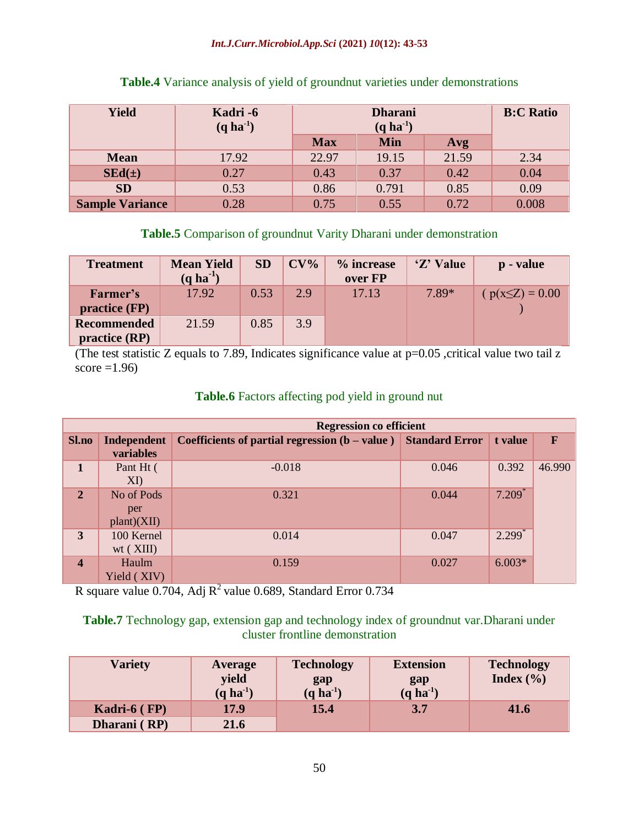#### *Int.J.Curr.Microbiol.App.Sci* **(2021)** *10***(12): 43-53**

| <b>Yield</b>           | Kadri -6<br>$(q \text{ ha}^{-1})$ |            | <b>B:C Ratio</b> |       |       |
|------------------------|-----------------------------------|------------|------------------|-------|-------|
|                        |                                   | <b>Max</b> | <b>Min</b>       | Avg   |       |
| <b>Mean</b>            | 17.92                             | 22.97      | 19.15            | 21.59 | 2.34  |
| $SEd(\pm)$             | 0.27                              | 0.43       | 0.37             | 0.42  | 0.04  |
| <b>SD</b>              | 0.53                              | 0.86       | 0.791            | 0.85  | 0.09  |
| <b>Sample Variance</b> | 0.28                              | 0.75       | 0.55             | 0.72  | 0.008 |

### **Table.4** Variance analysis of yield of groundnut varieties under demonstrations

## **Table.5** Comparison of groundnut Varity Dharani under demonstration

| <b>Treatment</b>                    | <b>Mean Yield</b><br>$(q \text{ ha}^{-1})$ | <b>SD</b> | $CV\%$ | % increase<br>over FP | 'Z' Value | p - value           |
|-------------------------------------|--------------------------------------------|-----------|--------|-----------------------|-----------|---------------------|
| Farmer's<br>practive (FP)           | 17.92                                      | 0.53      | 2.9    | 17.13                 | 7.89*     | $p(x \le Z) = 0.00$ |
| <b>Recommended</b><br>practive (RP) | 21.59                                      | 0.85      | 3.9    |                       |           |                     |

(The test statistic Z equals to 7.89, Indicates significance value at  $p=0.05$  , critical value two tail z score  $=1.96$ )

## **Table.6** Factors affecting pod yield in ground nut

| <b>Regression co efficient</b> |                                  |                                                                 |       |                      |        |  |  |  |
|--------------------------------|----------------------------------|-----------------------------------------------------------------|-------|----------------------|--------|--|--|--|
| <b>Sl.no</b>                   | Independent<br>variables         | Coefficients of partial regression $(b - value)$ Standard Error |       | t value              | F      |  |  |  |
| $\mathbf{1}$                   | Pant Ht (<br>XI                  | $-0.018$                                                        | 0.046 | 0.392                | 46.990 |  |  |  |
| $\overline{2}$                 | No of Pods<br>per<br>plant)(XII) | 0.321                                                           | 0.044 | $7.209*$             |        |  |  |  |
| $\overline{3}$                 | 100 Kernel<br>$wt$ ( $XIII$ )    | 0.014                                                           | 0.047 | $2.299$ <sup>*</sup> |        |  |  |  |
| $\overline{\mathbf{4}}$        | Haulm<br>Yield (XIV)             | 0.159                                                           | 0.027 | $6.003*$             |        |  |  |  |

R square value  $0.704$ , Adj  $R^2$  value 0.689, Standard Error  $0.734$ 

**Table.7** Technology gap, extension gap and technology index of groundnut var.Dharani under cluster frontline demonstration

| <b>Variety</b>  | Average<br>vield<br>$(q \, ha^{-1})$ | <b>Technology</b><br>gap<br>$(q \, ha^{-1})$ | <b>Extension</b><br>gap<br>$(q \text{ ha}^{-1})$ | <b>Technology</b><br>Index $(\% )$ |
|-----------------|--------------------------------------|----------------------------------------------|--------------------------------------------------|------------------------------------|
| Kadri- $6$ (FP) | 17.9                                 | 15.4                                         | 3.7                                              | 41.6                               |
| Dharani (RP)    | 21.6                                 |                                              |                                                  |                                    |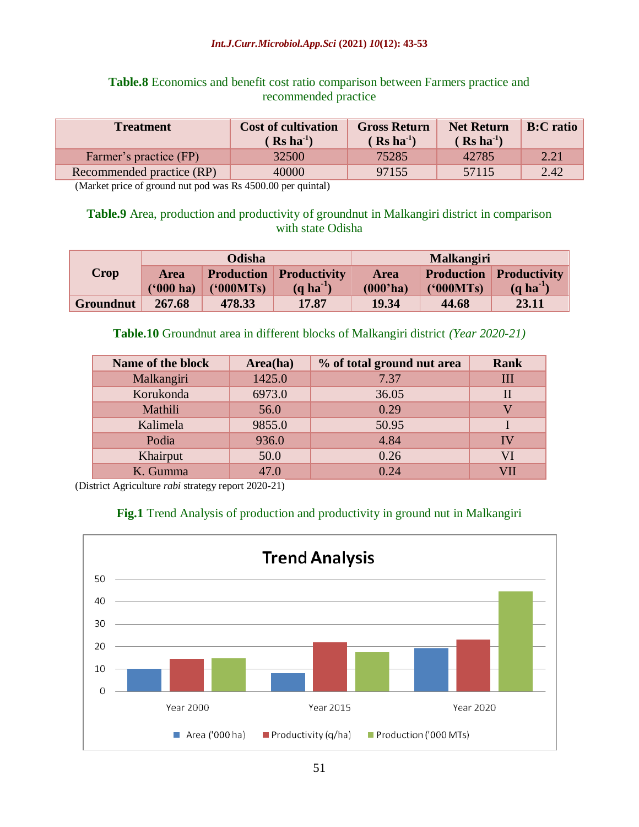#### *Int.J.Curr.Microbiol.App.Sci* **(2021)** *10***(12): 43-53**

## **Table.8** Economics and benefit cost ratio comparison between Farmers practice and recommended practice

| <b>Treatment</b>          | <b>Cost of cultivation</b><br>$Rs$ ha <sup>-1</sup> ) | <b>Gross Return</b><br>$(Rs \text{ ha}^{-1})$ | <b>Net Return</b><br>$($ Rs ha <sup>-1</sup> $)$ | <b>B:C</b> ratio |
|---------------------------|-------------------------------------------------------|-----------------------------------------------|--------------------------------------------------|------------------|
| Farmer's practice (FP)    | 32500                                                 | 75285                                         | 42785                                            | 2.21             |
| Recommended practice (RP) | 40000                                                 | 97155                                         | 57115                                            | 2.42             |

(Market price of ground nut pod was Rs 4500.00 per quintal)

### **Table.9** Area, production and productivity of groundnut in Malkangiri district in comparison with state Odisha

|           |             | Odisha            |                     | <b>Malkangiri</b> |                   |                     |
|-----------|-------------|-------------------|---------------------|-------------------|-------------------|---------------------|
| Crop      | <b>Area</b> | <b>Production</b> | <b>Productivity</b> | <b>Area</b>       | <b>Production</b> | <b>Productivity</b> |
|           | $(900)$ ha) | (900MTs)          | $(a ha-1)$          | (000'ha)          | (900MTs)          | $(a ha-1)$          |
| Groundnut | 267.68      | 478.33            | 17.87               | 19.34             | 44.68             | 23.11               |

### **Table.10** Groundnut area in different blocks of Malkangiri district *(Year 2020-21)*

| Name of the block | Area(ha) | % of total ground nut area | <b>Rank</b>  |
|-------------------|----------|----------------------------|--------------|
| Malkangiri        | 1425.0   | 7.37                       | Ш            |
| Korukonda         | 6973.0   | 36.05                      | $\mathbf{I}$ |
| Mathili           | 56.0     | 0.29                       |              |
| Kalimela          | 9855.0   | 50.95                      |              |
| Podia             | 936.0    | 4.84                       | IV           |
| Khairput          | 50.0     | 0.26                       | VI           |
| K. Gumma          | 47.0     | 0.24                       |              |

(District Agriculture *rabi* strategy report 2020-21)

## **Fig.1** Trend Analysis of production and productivity in ground nut in Malkangiri

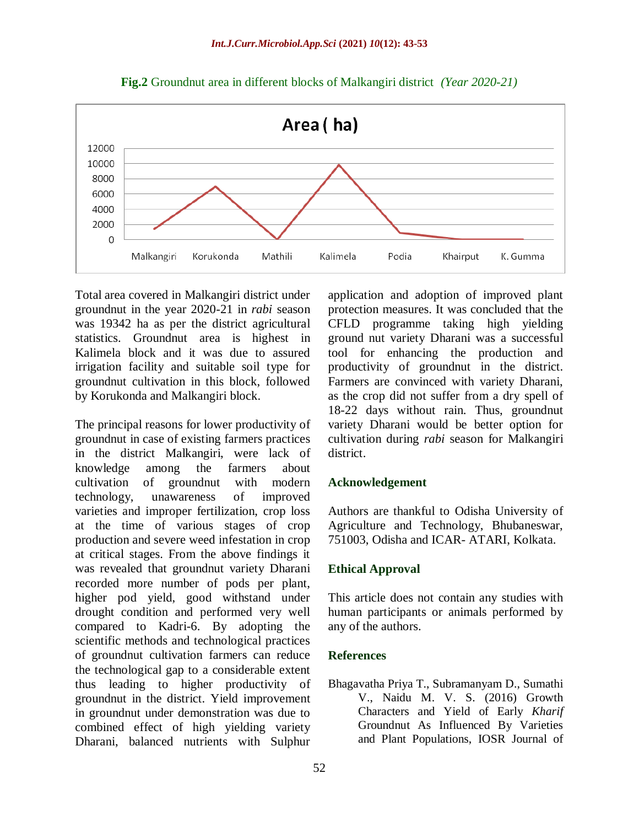

**Fig.2** Groundnut area in different blocks of Malkangiri district *(Year 2020-21)*

Total area covered in Malkangiri district under groundnut in the year 2020-21 in *rabi* season was 19342 ha as per the district agricultural statistics. Groundnut area is highest in Kalimela block and it was due to assured irrigation facility and suitable soil type for groundnut cultivation in this block, followed by Korukonda and Malkangiri block.

The principal reasons for lower productivity of groundnut in case of existing farmers practices in the district Malkangiri, were lack of knowledge among the farmers about cultivation of groundnut with modern technology, unawareness of improved varieties and improper fertilization, crop loss at the time of various stages of crop production and severe weed infestation in crop at critical stages. From the above findings it was revealed that groundnut variety Dharani recorded more number of pods per plant, higher pod yield, good withstand under drought condition and performed very well compared to Kadri-6. By adopting the scientific methods and technological practices of groundnut cultivation farmers can reduce the technological gap to a considerable extent thus leading to higher productivity of groundnut in the district. Yield improvement in groundnut under demonstration was due to combined effect of high yielding variety Dharani, balanced nutrients with Sulphur

application and adoption of improved plant protection measures. It was concluded that the CFLD programme taking high yielding ground nut variety Dharani was a successful tool for enhancing the production and productivity of groundnut in the district. Farmers are convinced with variety Dharani, as the crop did not suffer from a dry spell of 18-22 days without rain. Thus, groundnut variety Dharani would be better option for cultivation during *rabi* season for Malkangiri district.

#### **Acknowledgement**

Authors are thankful to Odisha University of Agriculture and Technology, Bhubaneswar, 751003, Odisha and ICAR- ATARI, Kolkata.

### **Ethical Approval**

This article does not contain any studies with human participants or animals performed by any of the authors.

#### **References**

Bhagavatha Priya T., Subramanyam D., Sumathi V., Naidu M. V. S. (2016) Growth Characters and Yield of Early *Kharif* Groundnut As Influenced By Varieties and Plant Populations, IOSR Journal of